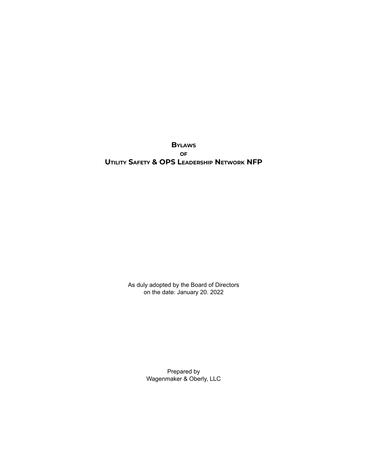**BYLAWS OF UTILITY SAFETY & OPS LEADERSHIP NETWORK NFP**

> As duly adopted by the Board of Directors on the date: January 20. 2022

> > Prepared by Wagenmaker & Oberly, LLC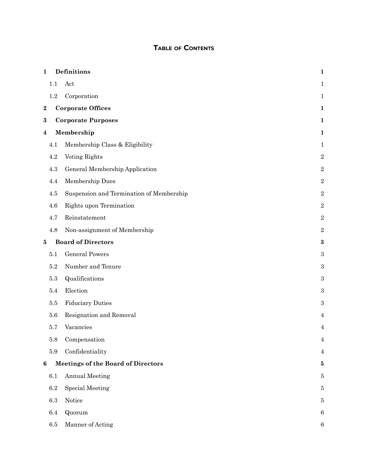# **TABLE OF CONTENTS**

| $\mathbf{1}$     |         | Definitions                               | $\mathbf{1}$     |
|------------------|---------|-------------------------------------------|------------------|
|                  | 1.1     | Act                                       | $\mathbf{1}$     |
|                  | 1.2     | Corporation                               | $\mathbf{1}$     |
| $\bf 2$          |         | <b>Corporate Offices</b>                  | $\mathbf{1}$     |
| $\bf{3}$         |         | <b>Corporate Purposes</b>                 | $\mathbf{1}$     |
| 4                |         | Membership                                | $\mathbf{1}$     |
|                  | 4.1     | Membership Class & Eligibility            | $\mathbf{1}$     |
|                  | 4.2     | Voting Rights                             | $\sqrt{2}$       |
|                  | 4.3     | General Membership Application            | $\sqrt{2}$       |
|                  | 4.4     | Membership Dues                           | $\,2$            |
|                  | 4.5     | Suspension and Termination of Membership  | $\,2$            |
|                  | 4.6     | Rights upon Termination                   | $\sqrt{2}$       |
|                  | 4.7     | Reinstatement                             | $\,2$            |
|                  | 4.8     | Non-assignment of Membership              | $\,2$            |
| 5                |         | <b>Board of Directors</b>                 | $\bf{3}$         |
|                  | 5.1     | <b>General Powers</b>                     | $\boldsymbol{3}$ |
|                  | 5.2     | Number and Tenure                         | $\boldsymbol{3}$ |
|                  | $5.3\,$ | Qualifications                            | $\boldsymbol{3}$ |
|                  | 5.4     | Election                                  | $\boldsymbol{3}$ |
|                  | 5.5     | <b>Fiduciary Duties</b>                   | $\,3$            |
|                  | 5.6     | Resignation and Removal                   | 4                |
|                  | 5.7     | Vacancies                                 | $\overline{4}$   |
|                  | 5.8     | Compensation                              | $\overline{4}$   |
|                  | 5.9     | Confidentiality                           | $\overline{4}$   |
| $\boldsymbol{6}$ |         | <b>Meetings of the Board of Directors</b> | $\bf{5}$         |
|                  | 6.1     | <b>Annual Meeting</b>                     | $\overline{5}$   |
|                  | $6.2\,$ | Special Meeting                           | $\bf 5$          |
|                  | $6.3\,$ | Notice                                    | 5                |
|                  | 6.4     | Quorum                                    | $\,6$            |
|                  | $6.5\,$ | Manner of Acting                          | $\,6$            |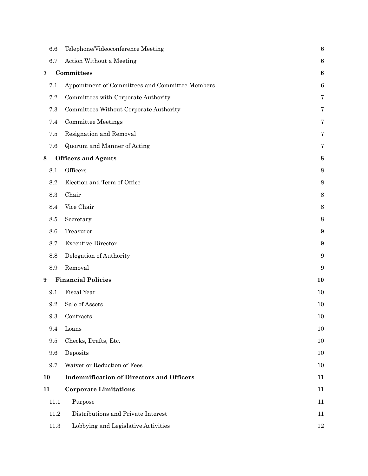| 6.6      | Telephone/Videoconference Meeting                | $\boldsymbol{6}$ |
|----------|--------------------------------------------------|------------------|
| 6.7      | Action Without a Meeting                         | $\boldsymbol{6}$ |
| 7        | Committees                                       | $\boldsymbol{6}$ |
| 7.1      | Appointment of Committees and Committee Members  | $\boldsymbol{6}$ |
| 7.2      | Committees with Corporate Authority              | 7                |
| 7.3      | Committees Without Corporate Authority           | 7                |
| 7.4      | <b>Committee Meetings</b>                        | 7                |
| 7.5      | Resignation and Removal                          | 7                |
| 7.6      | Quorum and Manner of Acting                      | 7                |
| 8        | <b>Officers and Agents</b>                       | 8                |
| 8.1      | Officers                                         | 8                |
| 8.2      | Election and Term of Office                      | 8                |
| 8.3      | Chair                                            | $8\,$            |
| 8.4      | Vice Chair                                       | 8                |
| 8.5      | Secretary                                        | 8                |
| 8.6      | Treasurer                                        | $\boldsymbol{9}$ |
| 8.7      | <b>Executive Director</b>                        | $\boldsymbol{9}$ |
| 8.8      | Delegation of Authority                          | $\boldsymbol{9}$ |
| 8.9      | Removal                                          | 9                |
| 9        | <b>Financial Policies</b>                        | 10               |
| 9.1      | <b>Fiscal Year</b>                               | 10               |
| 9.2      | Sale of Assets                                   | 10               |
| 9.3      | Contracts                                        | $10\,$           |
| 9.4      | Loans                                            | $10\,$           |
| $\,9.5$  | Checks, Drafts, Etc.                             | 10               |
| 9.6      | Deposits                                         | 10               |
| 9.7      | Waiver or Reduction of Fees                      | 10               |
| 10       | <b>Indemnification of Directors and Officers</b> | 11               |
| 11       | <b>Corporate Limitations</b>                     | 11               |
| 11.1     | Purpose                                          | 11               |
| 11.2     | Distributions and Private Interest               | 11               |
| $11.3\,$ | Lobbying and Legislative Activities              | $12\,$           |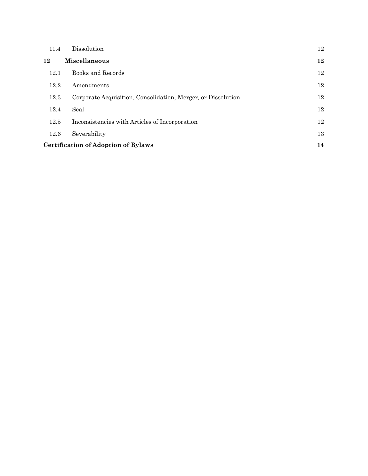| 11.4                                       | <b>Dissolution</b>                                           | 12 |  |  |
|--------------------------------------------|--------------------------------------------------------------|----|--|--|
| 12                                         | <b>Miscellaneous</b>                                         | 12 |  |  |
| 12.1                                       | Books and Records                                            | 12 |  |  |
| 12.2                                       | Amendments                                                   | 12 |  |  |
| 12.3                                       | Corporate Acquisition, Consolidation, Merger, or Dissolution | 12 |  |  |
| 12.4                                       | Seal                                                         | 12 |  |  |
| 12.5                                       | Inconsistencies with Articles of Incorporation               | 12 |  |  |
| 12.6                                       | Severability                                                 | 13 |  |  |
| <b>Certification of Adoption of Bylaws</b> |                                                              |    |  |  |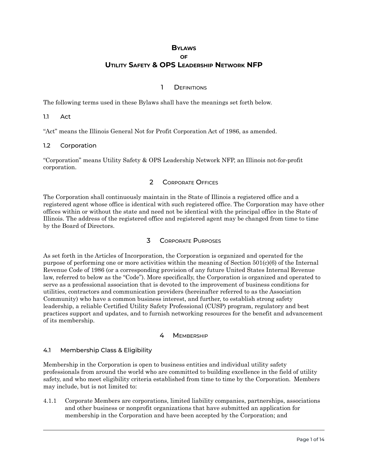# **BYLAWS OF UTILITY SAFETY & OPS LEADERSHIP NETWORK NFP**

### 1 DEFINITIONS

<span id="page-4-0"></span>The following terms used in these Bylaws shall have the meanings set forth below.

<span id="page-4-1"></span>1.1 Act

"Act" means the Illinois General Not for Profit Corporation Act of 1986, as amended.

#### <span id="page-4-2"></span>1.2 Corporation

<span id="page-4-3"></span>"Corporation" means Utility Safety & OPS Leadership Network NFP, an Illinois not-for-profit corporation.

### 2 CORPORATE OFFICES

The Corporation shall continuously maintain in the State of Illinois a registered office and a registered agent whose office is identical with such registered office. The Corporation may have other offices within or without the state and need not be identical with the principal office in the State of Illinois. The address of the registered office and registered agent may be changed from time to time by the Board of Directors.

### 3 CORPORATE PURPOSES

<span id="page-4-4"></span>As set forth in the Articles of Incorporation, the Corporation is organized and operated for the purpose of performing one or more activities within the meaning of Section 501(c)(6) of the Internal Revenue Code of 1986 (or a corresponding provision of any future United States Internal Revenue law, referred to below as the "Code"). More specifically, the Corporation is organized and operated to serve as a professional association that is devoted to the improvement of business conditions for utilities, contractors and communication providers (hereinafter referred to as the Association Community) who have a common business interest, and further, to establish strong safety leadership, a reliable Certified Utility Safety Professional (CUSP) program, regulatory and best practices support and updates, and to furnish networking resources for the benefit and advancement of its membership.

### 4 MEMBERSHIP

### <span id="page-4-6"></span><span id="page-4-5"></span>4.1 Membership Class & Eligibility

Membership in the Corporation is open to business entities and individual utility safety professionals from around the world who are committed to building excellence in the field of utility safety, and who meet eligibility criteria established from time to time by the Corporation. Members may include, but is not limited to:

4.1.1 Corporate Members are corporations, limited liability companies, partnerships, associations and other business or nonprofit organizations that have submitted an application for membership in the Corporation and have been accepted by the Corporation; and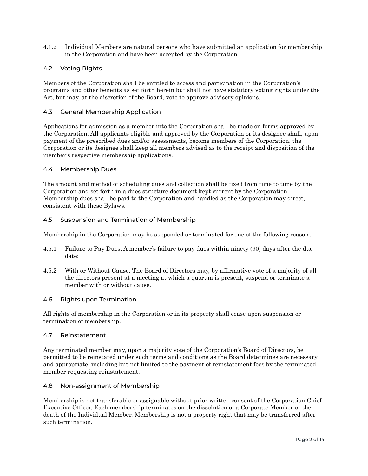4.1.2 Individual Members are natural persons who have submitted an application for membership in the Corporation and have been accepted by the Corporation.

### <span id="page-5-0"></span>4.2 Voting Rights

Members of the Corporation shall be entitled to access and participation in the Corporation's programs and other benefits as set forth herein but shall not have statutory voting rights under the Act, but may, at the discretion of the Board, vote to approve advisory opinions.

#### <span id="page-5-1"></span>4.3 General Membership Application

Applications for admission as a member into the Corporation shall be made on forms approved by the Corporation. All applicants eligible and approved by the Corporation or its designee shall, upon payment of the prescribed dues and/or assessments, become members of the Corporation. the Corporation or its designee shall keep all members advised as to the receipt and disposition of the member's respective membership applications.

#### <span id="page-5-2"></span>4.4 Membership Dues

The amount and method of scheduling dues and collection shall be fixed from time to time by the Corporation and set forth in a dues structure document kept current by the Corporation. Membership dues shall be paid to the Corporation and handled as the Corporation may direct, consistent with these Bylaws.

### <span id="page-5-3"></span>4.5 Suspension and Termination of Membership

Membership in the Corporation may be suspended or terminated for one of the following reasons:

- 4.5.1 Failure to Pay Dues. A member's failure to pay dues within ninety (90) days after the due date;
- 4.5.2 With or Without Cause. The Board of Directors may, by affirmative vote of a majority of all the directors present at a meeting at which a quorum is present, suspend or terminate a member with or without cause.

#### <span id="page-5-4"></span>4.6 Rights upon Termination

All rights of membership in the Corporation or in its property shall cease upon suspension or termination of membership.

#### <span id="page-5-5"></span>4.7 Reinstatement

Any terminated member may, upon a majority vote of the Corporation's Board of Directors, be permitted to be reinstated under such terms and conditions as the Board determines are necessary and appropriate, including but not limited to the payment of reinstatement fees by the terminated member requesting reinstatement.

#### <span id="page-5-6"></span>4.8 Non-assignment of Membership

Membership is not transferable or assignable without prior written consent of the Corporation Chief Executive Officer. Each membership terminates on the dissolution of a Corporate Member or the death of the Individual Member. Membership is not a property right that may be transferred after such termination.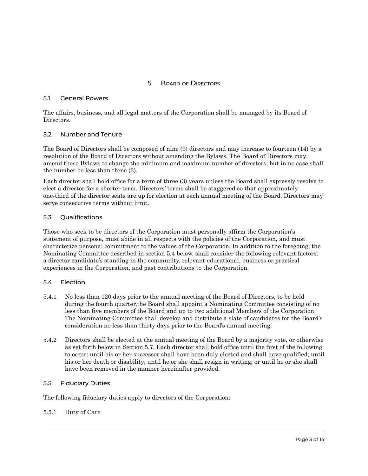### 5 BOARD OF DIRECTORS

#### <span id="page-6-1"></span><span id="page-6-0"></span>5.1 General Powers

The affairs, business, and all legal matters of the Corporation shall be managed by its Board of Directors.

### <span id="page-6-2"></span>5.2 Number and Tenure

The Board of Directors shall be composed of nine (9) directors and may increase to fourteen (14) by a resolution of the Board of Directors without amending the Bylaws. The Board of Directors may amend these Bylaws to change the minimum and maximum number of directors, but in no case shall the number be less than three (3).

Each director shall hold office for a term of three (3) years unless the Board shall expressly resolve to elect a director for a shorter term. Directors' terms shall be staggered so that approximately one-third of the director seats are up for election at each annual meeting of the Board. Directors may serve consecutive terms without limit.

#### <span id="page-6-3"></span>5.3 Qualifications

Those who seek to be directors of the Corporation must personally affirm the Corporation's statement of purpose, must abide in all respects with the policies of the Corporation, and must characterize personal commitment to the values of the Corporation. In addition to the foregoing, the Nominating Committee described in section 5.4 below, shall consider the following relevant factors: a director candidate's standing in the community, relevant educational, business or practical experiences in the Corporation, and past contributions to the Corporation.

#### <span id="page-6-4"></span>5.4 Election

- 5.4.1 No less than 120 days prior to the annual meeting of the Board of Directors, to be held during the fourth quarter,the Board shall appoint a Nominating Committee consisting of no less than five members of the Board and up to two additional Members of the Corporation. The Nominating Committee shall develop and distribute a slate of candidates for the Board's consideration no less than thirty days prior to the Board's annual meeting.
- 5.4.2 Directors shall be elected at the annual meeting of the Board by a majority vote, or otherwise as set forth below in Section 5.7. Each director shall hold office until the first of the following to occur: until his or her successor shall have been duly elected and shall have qualified; until his or her death or disability; until he or she shall resign in writing; or until he or she shall have been removed in the manner hereinafter provided.

#### <span id="page-6-5"></span>5.5 Fiduciary Duties

The following fiduciary duties apply to directors of the Corporation:

#### 5.5.1 Duty of Care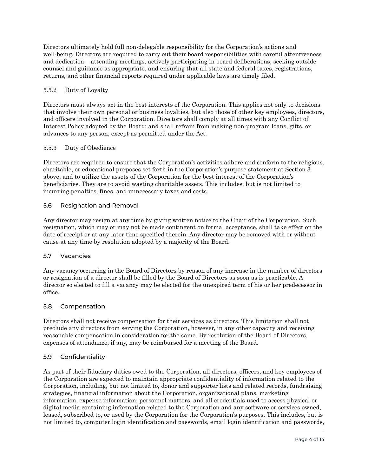Directors ultimately hold full non-delegable responsibility for the Corporation's actions and well-being. Directors are required to carry out their board responsibilities with careful attentiveness and dedication – attending meetings, actively participating in board deliberations, seeking outside counsel and guidance as appropriate, and ensuring that all state and federal taxes, registrations, returns, and other financial reports required under applicable laws are timely filed.

### 5.5.2 Duty of Loyalty

Directors must always act in the best interests of the Corporation. This applies not only to decisions that involve their own personal or business loyalties, but also those of other key employees, directors, and officers involved in the Corporation. Directors shall comply at all times with any Conflict of Interest Policy adopted by the Board; and shall refrain from making non-program loans, gifts, or advances to any person, except as permitted under the Act.

### 5.5.3 Duty of Obedience

Directors are required to ensure that the Corporation's activities adhere and conform to the religious, charitable, or educational purposes set forth in the Corporation's purpose statement at Section 3 above; and to utilize the assets of the Corporation for the best interest of the Corporation's beneficiaries. They are to avoid wasting charitable assets. This includes, but is not limited to incurring penalties, fines, and unnecessary taxes and costs.

### <span id="page-7-0"></span>5.6 Resignation and Removal

Any director may resign at any time by giving written notice to the Chair of the Corporation. Such resignation, which may or may not be made contingent on formal acceptance, shall take effect on the date of receipt or at any later time specified therein. Any director may be removed with or without cause at any time by resolution adopted by a majority of the Board.

# <span id="page-7-1"></span>5.7 Vacancies

Any vacancy occurring in the Board of Directors by reason of any increase in the number of directors or resignation of a director shall be filled by the Board of Directors as soon as is practicable. A director so elected to fill a vacancy may be elected for the unexpired term of his or her predecessor in office.

### <span id="page-7-2"></span>5.8 Compensation

Directors shall not receive compensation for their services as directors. This limitation shall not preclude any directors from serving the Corporation, however, in any other capacity and receiving reasonable compensation in consideration for the same. By resolution of the Board of Directors, expenses of attendance, if any, may be reimbursed for a meeting of the Board.

# <span id="page-7-3"></span>5.9 Confidentiality

As part of their fiduciary duties owed to the Corporation, all directors, officers, and key employees of the Corporation are expected to maintain appropriate confidentiality of information related to the Corporation, including, but not limited to, donor and supporter lists and related records, fundraising strategies, financial information about the Corporation, organizational plans, marketing information, expense information, personnel matters, and all credentials used to access physical or digital media containing information related to the Corporation and any software or services owned, leased, subscribed to, or used by the Corporation for the Corporation's purposes. This includes, but is not limited to, computer login identification and passwords, email login identification and passwords,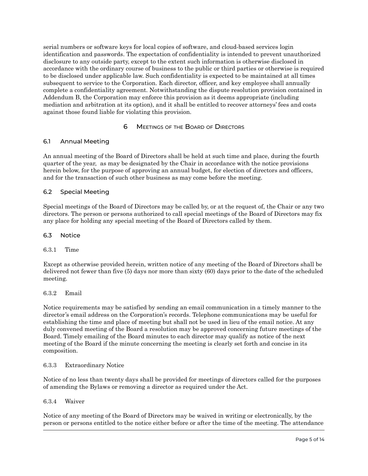serial numbers or software keys for local copies of software, and cloud-based services login identification and passwords. The expectation of confidentiality is intended to prevent unauthorized disclosure to any outside party, except to the extent such information is otherwise disclosed in accordance with the ordinary course of business to the public or third parties or otherwise is required to be disclosed under applicable law. Such confidentiality is expected to be maintained at all times subsequent to service to the Corporation. Each director, officer, and key employee shall annually complete a confidentiality agreement. Notwithstanding the dispute resolution provision contained in Addendum B, the Corporation may enforce this provision as it deems appropriate (including mediation and arbitration at its option), and it shall be entitled to recover attorneys' fees and costs against those found liable for violating this provision.

#### 6 MEETINGS OF THE BOARD OF DIRECTORS

#### <span id="page-8-1"></span><span id="page-8-0"></span>6.1 Annual Meeting

An annual meeting of the Board of Directors shall be held at such time and place, during the fourth quarter of the year, as may be designated by the Chair in accordance with the notice provisions herein below, for the purpose of approving an annual budget, for election of directors and officers, and for the transaction of such other business as may come before the meeting.

#### <span id="page-8-2"></span>6.2 Special Meeting

Special meetings of the Board of Directors may be called by, or at the request of, the Chair or any two directors. The person or persons authorized to call special meetings of the Board of Directors may fix any place for holding any special meeting of the Board of Directors called by them.

#### <span id="page-8-3"></span>6.3 Notice

#### 6.3.1 Time

Except as otherwise provided herein, written notice of any meeting of the Board of Directors shall be delivered not fewer than five (5) days nor more than sixty (60) days prior to the date of the scheduled meeting.

#### 6.3.2 Email

Notice requirements may be satisfied by sending an email communication in a timely manner to the director's email address on the Corporation's records. Telephone communications may be useful for establishing the time and place of meeting but shall not be used in lieu of the email notice. At any duly convened meeting of the Board a resolution may be approved concerning future meetings of the Board. Timely emailing of the Board minutes to each director may qualify as notice of the next meeting of the Board if the minute concerning the meeting is clearly set forth and concise in its composition.

#### 6.3.3 Extraordinary Notice

Notice of no less than twenty days shall be provided for meetings of directors called for the purposes of amending the Bylaws or removing a director as required under the Act.

#### 6.3.4 Waiver

Notice of any meeting of the Board of Directors may be waived in writing or electronically, by the person or persons entitled to the notice either before or after the time of the meeting. The attendance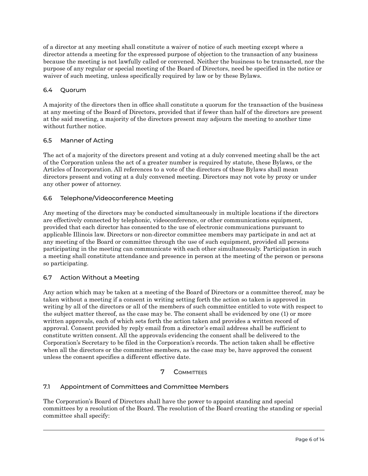of a director at any meeting shall constitute a waiver of notice of such meeting except where a director attends a meeting for the expressed purpose of objection to the transaction of any business because the meeting is not lawfully called or convened. Neither the business to be transacted, nor the purpose of any regular or special meeting of the Board of Directors, need be specified in the notice or waiver of such meeting, unless specifically required by law or by these Bylaws.

# <span id="page-9-0"></span>6.4 Quorum

A majority of the directors then in office shall constitute a quorum for the transaction of the business at any meeting of the Board of Directors, provided that if fewer than half of the directors are present at the said meeting, a majority of the directors present may adjourn the meeting to another time without further notice.

### <span id="page-9-1"></span>6.5 Manner of Acting

The act of a majority of the directors present and voting at a duly convened meeting shall be the act of the Corporation unless the act of a greater number is required by statute, these Bylaws, or the Articles of Incorporation. All references to a vote of the directors of these Bylaws shall mean directors present and voting at a duly convened meeting. Directors may not vote by proxy or under any other power of attorney.

### <span id="page-9-2"></span>6.6 Telephone/Videoconference Meeting

Any meeting of the directors may be conducted simultaneously in multiple locations if the directors are effectively connected by telephonic, videoconference, or other communications equipment, provided that each director has consented to the use of electronic communications pursuant to applicable Illinois law. Directors or non-director committee members may participate in and act at any meeting of the Board or committee through the use of such equipment, provided all persons participating in the meeting can communicate with each other simultaneously. Participation in such a meeting shall constitute attendance and presence in person at the meeting of the person or persons so participating.

### <span id="page-9-3"></span>6.7 Action Without a Meeting

Any action which may be taken at a meeting of the Board of Directors or a committee thereof, may be taken without a meeting if a consent in writing setting forth the action so taken is approved in writing by all of the directors or all of the members of such committee entitled to vote with respect to the subject matter thereof, as the case may be. The consent shall be evidenced by one (1) or more written approvals, each of which sets forth the action taken and provides a written record of approval. Consent provided by reply email from a director's email address shall be sufficient to constitute written consent. All the approvals evidencing the consent shall be delivered to the Corporation's Secretary to be filed in the Corporation's records. The action taken shall be effective when all the directors or the committee members, as the case may be, have approved the consent unless the consent specifies a different effective date.

# 7 COMMITTEES

### <span id="page-9-5"></span><span id="page-9-4"></span>7.1 Appointment of Committees and Committee Members

The Corporation's Board of Directors shall have the power to appoint standing and special committees by a resolution of the Board. The resolution of the Board creating the standing or special committee shall specify: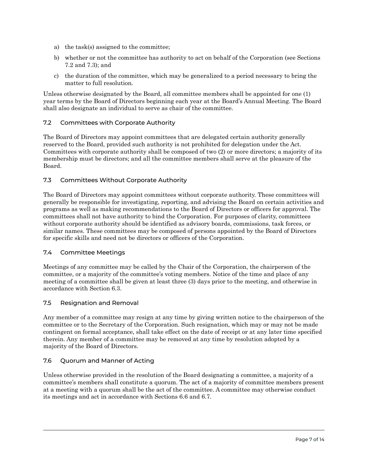- a) the task(s) assigned to the committee;
- b) whether or not the committee has authority to act on behalf of the Corporation (see Sections 7.2 and 7.3); and
- c) the duration of the committee, which may be generalized to a period necessary to bring the matter to full resolution.

Unless otherwise designated by the Board, all committee members shall be appointed for one (1) year terms by the Board of Directors beginning each year at the Board's Annual Meeting. The Board shall also designate an individual to serve as chair of the committee.

### <span id="page-10-0"></span>7.2 Committees with Corporate Authority

The Board of Directors may appoint committees that are delegated certain authority generally reserved to the Board, provided such authority is not prohibited for delegation under the Act. Committees with corporate authority shall be composed of two (2) or more directors; a majority of its membership must be directors; and all the committee members shall serve at the pleasure of the Board.

### <span id="page-10-1"></span>7.3 Committees Without Corporate Authority

The Board of Directors may appoint committees without corporate authority. These committees will generally be responsible for investigating, reporting, and advising the Board on certain activities and programs as well as making recommendations to the Board of Directors or officers for approval. The committees shall not have authority to bind the Corporation. For purposes of clarity, committees without corporate authority should be identified as advisory boards, commissions, task forces, or similar names. These committees may be composed of persons appointed by the Board of Directors for specific skills and need not be directors or officers of the Corporation.

### <span id="page-10-2"></span>7.4 Committee Meetings

Meetings of any committee may be called by the Chair of the Corporation, the chairperson of the committee, or a majority of the committee's voting members. Notice of the time and place of any meeting of a committee shall be given at least three (3) days prior to the meeting, and otherwise in accordance with Section 6.3.

### <span id="page-10-3"></span>7.5 Resignation and Removal

Any member of a committee may resign at any time by giving written notice to the chairperson of the committee or to the Secretary of the Corporation. Such resignation, which may or may not be made contingent on formal acceptance, shall take effect on the date of receipt or at any later time specified therein. Any member of a committee may be removed at any time by resolution adopted by a majority of the Board of Directors.

### <span id="page-10-4"></span>7.6 Quorum and Manner of Acting

Unless otherwise provided in the resolution of the Board designating a committee, a majority of a committee's members shall constitute a quorum. The act of a majority of committee members present at a meeting with a quorum shall be the act of the committee. A committee may otherwise conduct its meetings and act in accordance with Sections 6.6 and 6.7.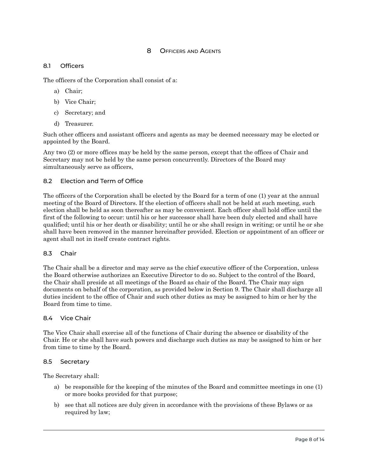### 8 OFFICERS AND AGENTS

#### <span id="page-11-1"></span><span id="page-11-0"></span>8.1 Officers

The officers of the Corporation shall consist of a:

- a) Chair;
- b) Vice Chair;
- c) Secretary; and
- d) Treasurer.

Such other officers and assistant officers and agents as may be deemed necessary may be elected or appointed by the Board.

Any two (2) or more offices may be held by the same person, except that the offices of Chair and Secretary may not be held by the same person concurrently. Directors of the Board may simultaneously serve as officers,

#### <span id="page-11-2"></span>8.2 Election and Term of Office

The officers of the Corporation shall be elected by the Board for a term of one (1) year at the annual meeting of the Board of Directors. If the election of officers shall not be held at such meeting, such election shall be held as soon thereafter as may be convenient. Each officer shall hold office until the first of the following to occur: until his or her successor shall have been duly elected and shall have qualified; until his or her death or disability; until he or she shall resign in writing; or until he or she shall have been removed in the manner hereinafter provided. Election or appointment of an officer or agent shall not in itself create contract rights.

#### <span id="page-11-3"></span>8.3 Chair

The Chair shall be a director and may serve as the chief executive officer of the Corporation, unless the Board otherwise authorizes an Executive Director to do so. Subject to the control of the Board, the Chair shall preside at all meetings of the Board as chair of the Board. The Chair may sign documents on behalf of the corporation, as provided below in Section 9. The Chair shall discharge all duties incident to the office of Chair and such other duties as may be assigned to him or her by the Board from time to time.

#### <span id="page-11-4"></span>8.4 Vice Chair

The Vice Chair shall exercise all of the functions of Chair during the absence or disability of the Chair. He or she shall have such powers and discharge such duties as may be assigned to him or her from time to time by the Board.

#### <span id="page-11-5"></span>8.5 Secretary

The Secretary shall:

- a) be responsible for the keeping of the minutes of the Board and committee meetings in one (1) or more books provided for that purpose;
- b) see that all notices are duly given in accordance with the provisions of these Bylaws or as required by law;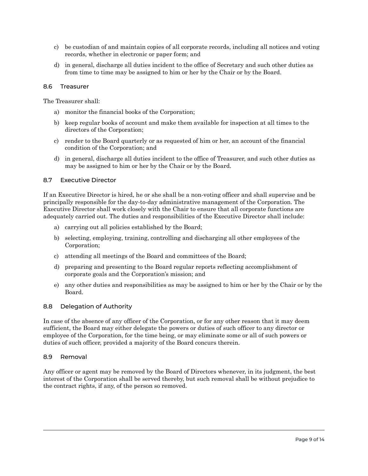- c) be custodian of and maintain copies of all corporate records, including all notices and voting records, whether in electronic or paper form; and
- d) in general, discharge all duties incident to the office of Secretary and such other duties as from time to time may be assigned to him or her by the Chair or by the Board.

#### <span id="page-12-0"></span>8.6 Treasurer

The Treasurer shall:

- a) monitor the financial books of the Corporation;
- b) keep regular books of account and make them available for inspection at all times to the directors of the Corporation;
- c) render to the Board quarterly or as requested of him or her, an account of the financial condition of the Corporation; and
- d) in general, discharge all duties incident to the office of Treasurer, and such other duties as may be assigned to him or her by the Chair or by the Board.

#### <span id="page-12-1"></span>8.7 Executive Director

If an Executive Director is hired, he or she shall be a non-voting officer and shall supervise and be principally responsible for the day-to-day administrative management of the Corporation. The Executive Director shall work closely with the Chair to ensure that all corporate functions are adequately carried out. The duties and responsibilities of the Executive Director shall include:

- a) carrying out all policies established by the Board;
- b) selecting, employing, training, controlling and discharging all other employees of the Corporation;
- c) attending all meetings of the Board and committees of the Board;
- d) preparing and presenting to the Board regular reports reflecting accomplishment of corporate goals and the Corporation's mission; and
- e) any other duties and responsibilities as may be assigned to him or her by the Chair or by the Board.

#### <span id="page-12-2"></span>8.8 Delegation of Authority

In case of the absence of any officer of the Corporation, or for any other reason that it may deem sufficient, the Board may either delegate the powers or duties of such officer to any director or employee of the Corporation, for the time being, or may eliminate some or all of such powers or duties of such officer, provided a majority of the Board concurs therein.

#### <span id="page-12-3"></span>8.9 Removal

Any officer or agent may be removed by the Board of Directors whenever, in its judgment, the best interest of the Corporation shall be served thereby, but such removal shall be without prejudice to the contract rights, if any, of the person so removed.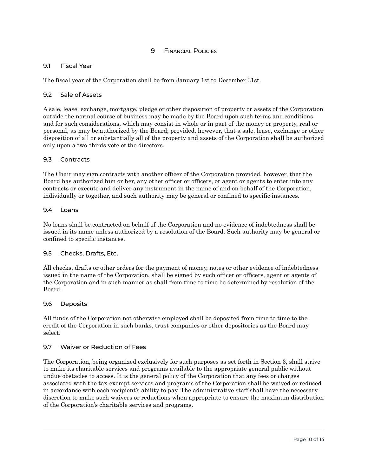# 9 **FINANCIAL POLICIES**

#### <span id="page-13-1"></span><span id="page-13-0"></span>9.1 Fiscal Year

The fiscal year of the Corporation shall be from January 1st to December 31st.

#### <span id="page-13-2"></span>9.2 Sale of Assets

A sale, lease, exchange, mortgage, pledge or other disposition of property or assets of the Corporation outside the normal course of business may be made by the Board upon such terms and conditions and for such considerations, which may consist in whole or in part of the money or property, real or personal, as may be authorized by the Board; provided, however, that a sale, lease, exchange or other disposition of all or substantially all of the property and assets of the Corporation shall be authorized only upon a two-thirds vote of the directors.

#### <span id="page-13-3"></span>9.3 Contracts

The Chair may sign contracts with another officer of the Corporation provided, however, that the Board has authorized him or her, any other officer or officers, or agent or agents to enter into any contracts or execute and deliver any instrument in the name of and on behalf of the Corporation, individually or together, and such authority may be general or confined to specific instances.

#### <span id="page-13-4"></span>9.4 Loans

No loans shall be contracted on behalf of the Corporation and no evidence of indebtedness shall be issued in its name unless authorized by a resolution of the Board. Such authority may be general or confined to specific instances.

#### <span id="page-13-5"></span>9.5 Checks, Drafts, Etc.

All checks, drafts or other orders for the payment of money, notes or other evidence of indebtedness issued in the name of the Corporation, shall be signed by such officer or officers, agent or agents of the Corporation and in such manner as shall from time to time be determined by resolution of the Board.

#### <span id="page-13-6"></span>9.6 Deposits

All funds of the Corporation not otherwise employed shall be deposited from time to time to the credit of the Corporation in such banks, trust companies or other depositories as the Board may select.

#### <span id="page-13-7"></span>9.7 Waiver or Reduction of Fees

The Corporation, being organized exclusively for such purposes as set forth in Section 3, shall strive to make its charitable services and programs available to the appropriate general public without undue obstacles to access. It is the general policy of the Corporation that any fees or charges associated with the tax-exempt services and programs of the Corporation shall be waived or reduced in accordance with each recipient's ability to pay. The administrative staff shall have the necessary discretion to make such waivers or reductions when appropriate to ensure the maximum distribution of the Corporation's charitable services and programs.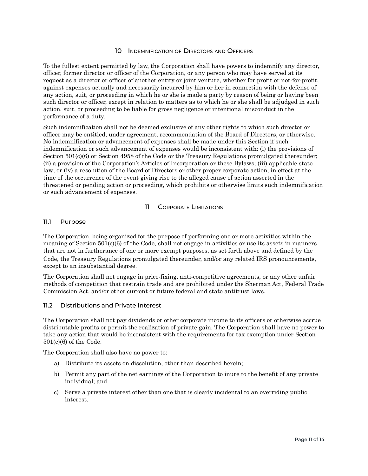### 10 INDEMNIFICATION OF DIRECTORS AND OFFICERS

<span id="page-14-0"></span>To the fullest extent permitted by law, the Corporation shall have powers to indemnify any director, officer, former director or officer of the Corporation, or any person who may have served at its request as a director or officer of another entity or joint venture, whether for profit or not-for-profit, against expenses actually and necessarily incurred by him or her in connection with the defense of any action, suit, or proceeding in which he or she is made a party by reason of being or having been such director or officer, except in relation to matters as to which he or she shall be adjudged in such action, suit, or proceeding to be liable for gross negligence or intentional misconduct in the performance of a duty.

Such indemnification shall not be deemed exclusive of any other rights to which such director or officer may be entitled, under agreement, recommendation of the Board of Directors, or otherwise. No indemnification or advancement of expenses shall be made under this Section if such indemnification or such advancement of expenses would be inconsistent with: (i) the provisions of Section 501(c)(6) or Section 4958 of the Code or the Treasury Regulations promulgated thereunder; (ii) a provision of the Corporation's Articles of Incorporation or these Bylaws; (iii) applicable state law; or (iv) a resolution of the Board of Directors or other proper corporate action, in effect at the time of the occurrence of the event giving rise to the alleged cause of action asserted in the threatened or pending action or proceeding, which prohibits or otherwise limits such indemnification or such advancement of expenses.

### 11 CORPORATE LIMITATIONS

#### <span id="page-14-2"></span><span id="page-14-1"></span>11.1 Purpose

The Corporation, being organized for the purpose of performing one or more activities within the meaning of Section 501(c)(6) of the Code, shall not engage in activities or use its assets in manners that are not in furtherance of one or more exempt purposes, as set forth above and defined by the Code, the Treasury Regulations promulgated thereunder, and/or any related IRS pronouncements, except to an insubstantial degree.

The Corporation shall not engage in price-fixing, anti-competitive agreements, or any other unfair methods of competition that restrain trade and are prohibited under the Sherman Act, Federal Trade Commission Act, and/or other current or future federal and state antitrust laws.

### <span id="page-14-3"></span>11.2 Distributions and Private Interest

The Corporation shall not pay dividends or other corporate income to its officers or otherwise accrue distributable profits or permit the realization of private gain. The Corporation shall have no power to take any action that would be inconsistent with the requirements for tax exemption under Section 501(c)(6) of the Code.

The Corporation shall also have no power to:

- a) Distribute its assets on dissolution, other than described herein;
- b) Permit any part of the net earnings of the Corporation to inure to the benefit of any private individual; and
- c) Serve a private interest other than one that is clearly incidental to an overriding public interest.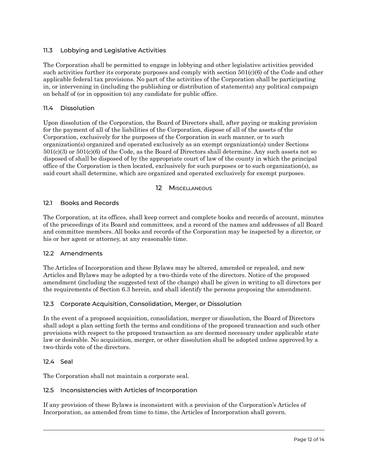### <span id="page-15-0"></span>11.3 Lobbying and Legislative Activities

The Corporation shall be permitted to engage in lobbying and other legislative activities provided such activities further its corporate purposes and comply with section 501(c)(6) of the Code and other applicable federal tax provisions. No part of the activities of the Corporation shall be participating in, or intervening in (including the publishing or distribution of statements) any political campaign on behalf of (or in opposition to) any candidate for public office.

### <span id="page-15-1"></span>11.4 Dissolution

Upon dissolution of the Corporation, the Board of Directors shall, after paying or making provision for the payment of all of the liabilities of the Corporation, dispose of all of the assets of the Corporation, exclusively for the purposes of the Corporation in such manner, or to such organization(s) organized and operated exclusively as an exempt organization(s) under Sections 501(c)(3) or 501(c)(6) of the Code, as the Board of Directors shall determine. Any such assets not so disposed of shall be disposed of by the appropriate court of law of the county in which the principal office of the Corporation is then located, exclusively for such purposes or to such organization(s), as said court shall determine, which are organized and operated exclusively for exempt purposes.

### 12 MISCELLANEOUS

### <span id="page-15-3"></span><span id="page-15-2"></span>12.1 Books and Records

The Corporation, at its offices, shall keep correct and complete books and records of account, minutes of the proceedings of its Board and committees, and a record of the names and addresses of all Board and committee members. All books and records of the Corporation may be inspected by a director, or his or her agent or attorney, at any reasonable time.

### <span id="page-15-4"></span>12.2 Amendments

The Articles of Incorporation and these Bylaws may be altered, amended or repealed, and new Articles and Bylaws may be adopted by a two-thirds vote of the directors. Notice of the proposed amendment (including the suggested text of the change) shall be given in writing to all directors per the requirements of Section 6.3 herein, and shall identify the persons proposing the amendment.

### <span id="page-15-5"></span>12.3 Corporate Acquisition, Consolidation, Merger, or Dissolution

In the event of a proposed acquisition, consolidation, merger or dissolution, the Board of Directors shall adopt a plan setting forth the terms and conditions of the proposed transaction and such other provisions with respect to the proposed transaction as are deemed necessary under applicable state law or desirable. No acquisition, merger, or other dissolution shall be adopted unless approved by a two-thirds vote of the directors.

### <span id="page-15-6"></span>12.4 Seal

The Corporation shall not maintain a corporate seal.

### <span id="page-15-7"></span>12.5 Inconsistencies with Articles of Incorporation

If any provision of these Bylaws is inconsistent with a provision of the Corporation's Articles of Incorporation, as amended from time to time, the Articles of Incorporation shall govern.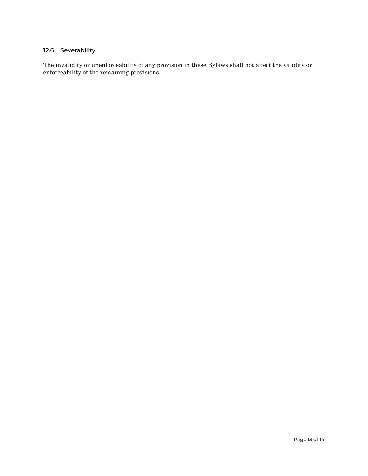# <span id="page-16-0"></span>12.6 Severability

The invalidity or unenforceability of any provision in these Bylaws shall not affect the validity or enforceability of the remaining provisions.